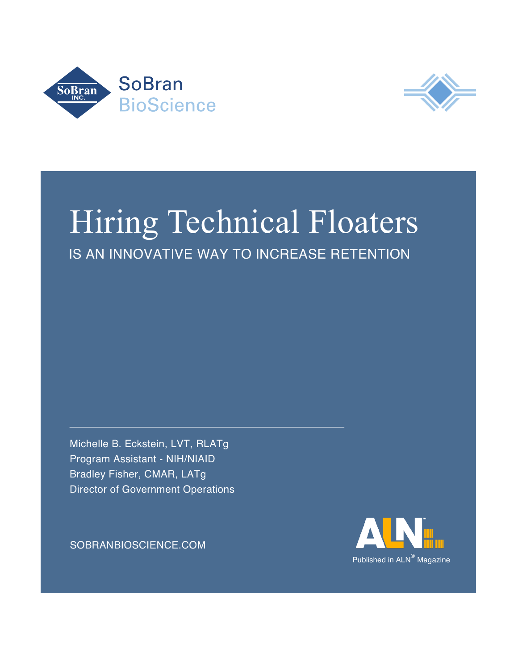



## IS AN INNOVATIVE WAY TO INCREASE RETENTION Hiring Technical Floaters

Michelle B. Eckstein, LVT, RLATg Program Assistant - NIH/NIAID Bradley Fisher, CMAR, LATg Director of Government Operations

[SOBRANBIOSCIENCE.COM](http://www.sobran-inc.com/solutions/bioscience/)

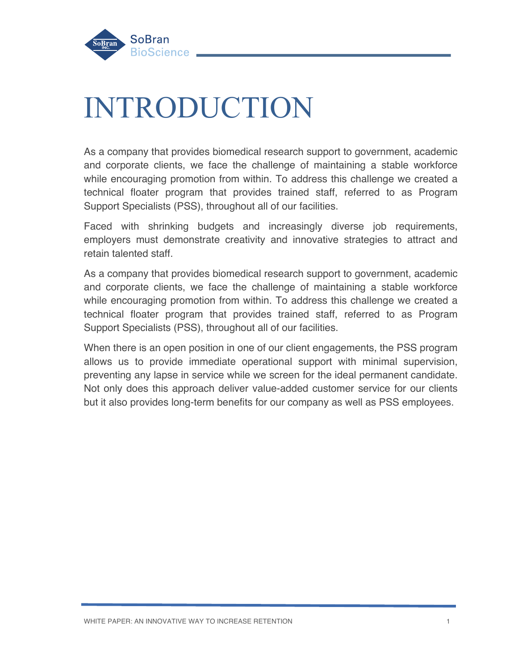

## INTRODUCTION

As a company that provides biomedical research support to government, academic and corporate clients, we face the challenge of maintaining a stable workforce while encouraging promotion from within. To address this challenge we created a technical floater program that provides trained staff, referred to as Program Support Specialists (PSS), throughout all of our facilities.

Faced with shrinking budgets and increasingly diverse job requirements, employers must demonstrate creativity and innovative strategies to attract and retain talented staff.

As a company that provides biomedical research support to government, academic and corporate clients, we face the challenge of maintaining a stable workforce while encouraging promotion from within. To address this challenge we created a technical floater program that provides trained staff, referred to as Program Support Specialists (PSS), throughout all of our facilities.

When there is an open position in one of our client engagements, the PSS program allows us to provide immediate operational support with minimal supervision, preventing any lapse in service while we screen for the ideal permanent candidate. Not only does this approach deliver value-added customer service for our clients but it also provides long-term benefits for our company as well as PSS employees.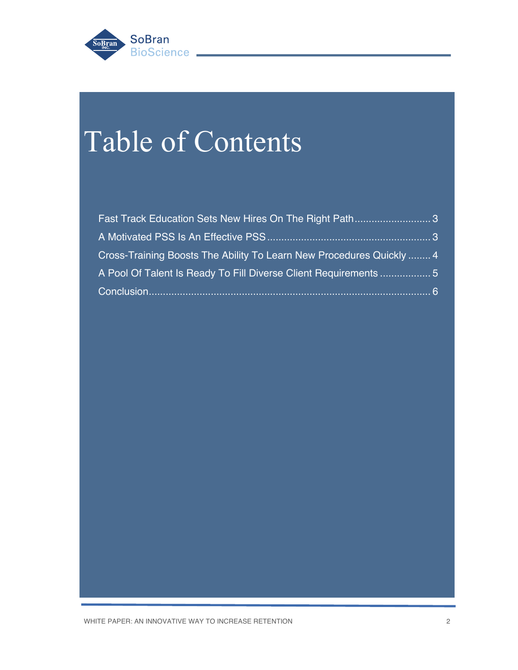

## Table of Contents

| Fast Track Education Sets New Hires On The Right Path3               |
|----------------------------------------------------------------------|
|                                                                      |
| Cross-Training Boosts The Ability To Learn New Procedures Quickly  4 |
| A Pool Of Talent Is Ready To Fill Diverse Client Requirements 5      |
| $-6$                                                                 |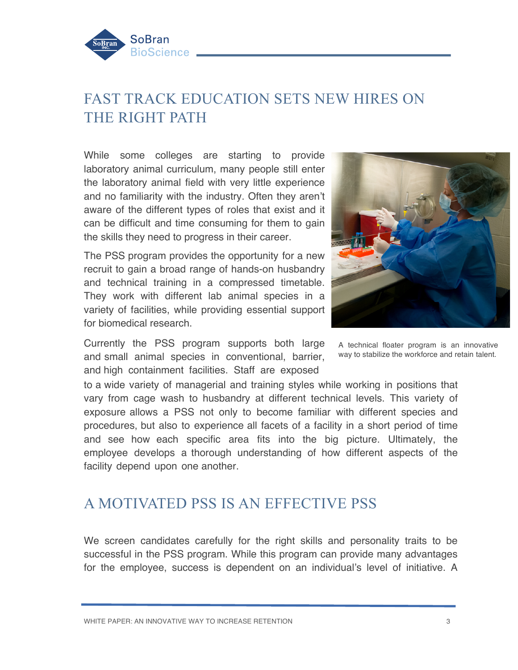<span id="page-3-0"></span>

## FAST TRACK EDUCATION SETS NEW HIRES ON THE RIGHT PATH

While some colleges are starting to provide laboratory animal curriculum, many people still enter the laboratory animal field with very little experience and no familiarity with the industry. Often they aren't aware of the different types of roles that exist and it can be difficult and time consuming for them to gain the skills they need to progress in their career.

The PSS program provides the opportunity for a new recruit to gain a broad range of hands-on husbandry and technical training in a compressed timetable. They work with different lab animal species in a variety of facilities, while providing essential support for biomedical research.

Currently the PSS program supports both large and small animal species in conventional, barrier, and high containment facilities. Staff are exposed



A technical floater program is an innovative way to stabilize the workforce and retain talent.

to a wide variety of managerial and training styles while working in positions that vary from cage wash to husbandry at different technical levels. This variety of exposure allows a PSS not only to become familiar with different species and procedures, but also to experience all facets of a facility in a short period of time and see how each specific area fits into the big picture. Ultimately, the employee develops a thorough understanding of how different aspects of the facility depend upon one another.

### A MOTIVATED PSS IS AN EFFECTIVE PSS

We screen candidates carefully for the right skills and personality traits to be successful in the PSS program. While this program can provide many advantages for the employee, success is dependent on an individual's level of initiative. A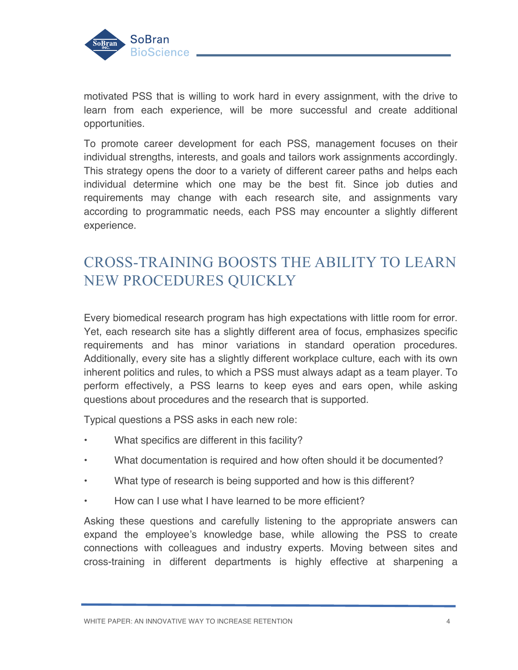<span id="page-4-0"></span>

motivated PSS that is willing to work hard in every assignment, with the drive to learn from each experience, will be more successful and create additional opportunities.

To promote career development for each PSS, management focuses on their individual strengths, interests, and goals and tailors work assignments accordingly. This strategy opens the door to a variety of different career paths and helps each individual determine which one may be the best fit. Since job duties and requirements may change with each research site, and assignments vary according to programmatic needs, each PSS may encounter a slightly different experience.

## CROSS-TRAINING BOOSTS THE ABILITY TO LEARN NEW PROCEDURES QUICKLY

Every biomedical research program has high expectations with little room for error. Yet, each research site has a slightly different area of focus, emphasizes specific requirements and has minor variations in standard operation procedures. Additionally, every site has a slightly different workplace culture, each with its own inherent politics and rules, to which a PSS must always adapt as a team player. To perform effectively, a PSS learns to keep eyes and ears open, while asking questions about procedures and the research that is supported.

Typical questions a PSS asks in each new role:

- What specifics are different in this facility?
- What documentation is required and how often should it be documented?
- What type of research is being supported and how is this different?
- How can I use what I have learned to be more efficient?

Asking these questions and carefully listening to the appropriate answers can expand the employee's knowledge base, while allowing the PSS to create connections with colleagues and industry experts. Moving between sites and cross-training in different departments is highly effective at sharpening a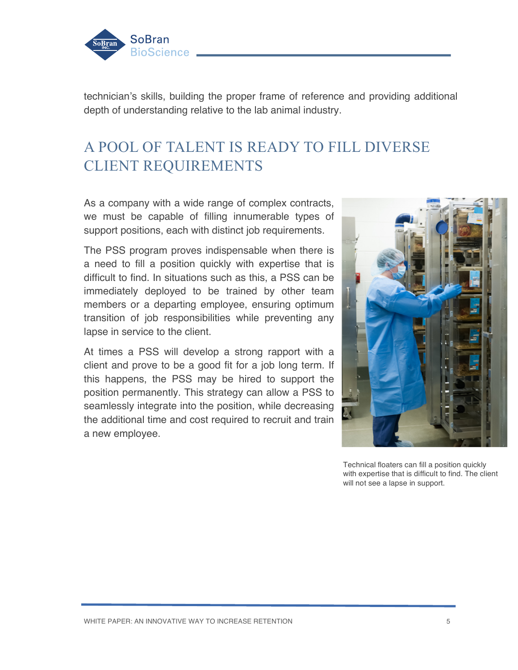<span id="page-5-0"></span>

technician's skills, building the proper frame of reference and providing additional depth of understanding relative to the lab animal industry.

### A POOL OF TALENT IS READY TO FILL DIVERSE CLIENT REQUIREMENTS

As a company with a wide range of complex contracts, we must be capable of filling innumerable types of support positions, each with distinct job requirements.

The PSS program proves indispensable when there is a need to fill a position quickly with expertise that is difficult to find. In situations such as this, a PSS can be immediately deployed to be trained by other team members or a departing employee, ensuring optimum transition of job responsibilities while preventing any lapse in service to the client.

At times a PSS will develop a strong rapport with a client and prove to be a good fit for a job long term. If this happens, the PSS may be hired to support the position permanently. This strategy can allow a PSS to seamlessly integrate into the position, while decreasing the additional time and cost required to recruit and train a new employee.



Technical floaters can fill a position quickly with expertise that is difficult to find. The client will not see a lapse in support.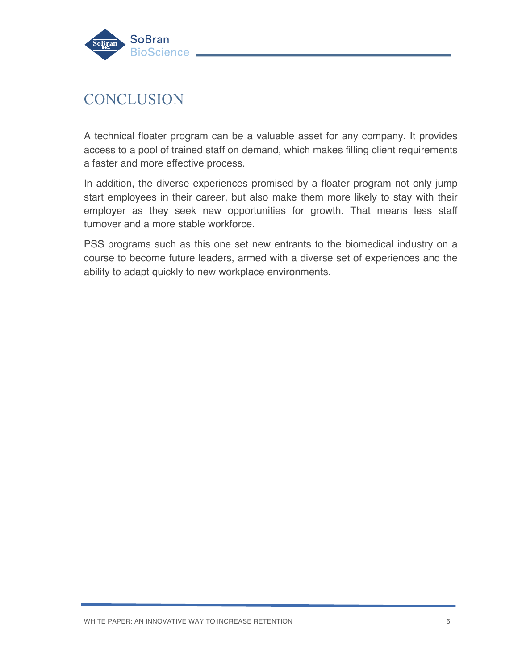<span id="page-6-0"></span>

### **CONCLUSION**

A technical floater program can be a valuable asset for any company. It provides access to a pool of trained staff on demand, which makes filling client requirements a faster and more effective process.

In addition, the diverse experiences promised by a floater program not only jump start employees in their career, but also make them more likely to stay with their employer as they seek new opportunities for growth. That means less staff turnover and a more stable workforce.

PSS programs such as this one set new entrants to the biomedical industry on a course to become future leaders, armed with a diverse set of experiences and the ability to adapt quickly to new workplace environments.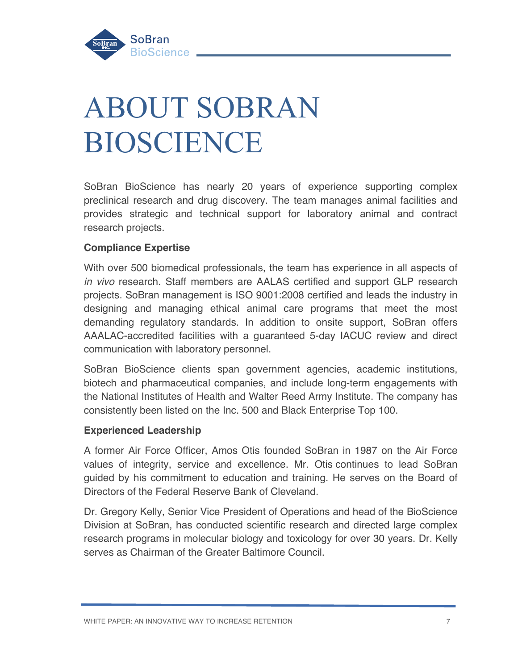

# ABOUT SOBRAN BIOSCIENCE

SoBran BioScience has nearly 20 years of experience supporting complex preclinical research and drug discovery. The team manages animal facilities and provides strategic and technical support for laboratory animal and contract research projects.

#### **Compliance Expertise**

With over 500 biomedical professionals, the team has experience in all aspects of *in vivo* research. Staff members are AALAS certified and support GLP research projects. SoBran management is ISO 9001:2008 certified and leads the industry in designing and managing ethical animal care programs that meet the most demanding regulatory standards. In addition to onsite support, SoBran offers AAALAC-accredited facilities with a guaranteed 5-day IACUC review and direct communication with laboratory personnel.

SoBran BioScience clients span government agencies, academic institutions, biotech and pharmaceutical companies, and include long-term engagements with the National Institutes of Health and Walter Reed Army Institute. The company has consistently been listed on the Inc. 500 and Black Enterprise Top 100.

#### **Experienced Leadership**

A former Air Force Officer, Amos Otis founded SoBran in 1987 on the Air Force values of integrity, service and excellence. Mr. Otis continues to lead SoBran guided by his commitment to education and training. He serves on the Board of Directors of the Federal Reserve Bank of Cleveland.

Dr. Gregory Kelly, Senior Vice President of Operations and head of the BioScience Division at SoBran, has conducted scientific research and directed large complex research programs in molecular biology and toxicology for over 30 years. Dr. Kelly serves as Chairman of the Greater Baltimore Council.